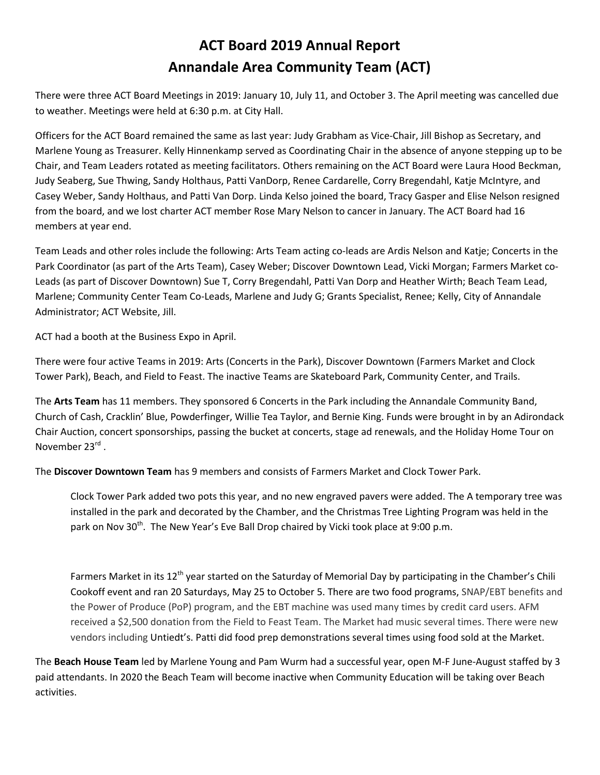## **ACT Board 2019 Annual Report Annandale Area Community Team (ACT)**

There were three ACT Board Meetings in 2019: January 10, July 11, and October 3. The April meeting was cancelled due to weather. Meetings were held at 6:30 p.m. at City Hall.

Officers for the ACT Board remained the same as last year: Judy Grabham as Vice-Chair, Jill Bishop as Secretary, and Marlene Young as Treasurer. Kelly Hinnenkamp served as Coordinating Chair in the absence of anyone stepping up to be Chair, and Team Leaders rotated as meeting facilitators. Others remaining on the ACT Board were Laura Hood Beckman, Judy Seaberg, Sue Thwing, Sandy Holthaus, Patti VanDorp, Renee Cardarelle, Corry Bregendahl, Katje McIntyre, and Casey Weber, Sandy Holthaus, and Patti Van Dorp. Linda Kelso joined the board, Tracy Gasper and Elise Nelson resigned from the board, and we lost charter ACT member Rose Mary Nelson to cancer in January. The ACT Board had 16 members at year end.

Team Leads and other roles include the following: Arts Team acting co-leads are Ardis Nelson and Katje; Concerts in the Park Coordinator (as part of the Arts Team), Casey Weber; Discover Downtown Lead, Vicki Morgan; Farmers Market co-Leads (as part of Discover Downtown) Sue T, Corry Bregendahl, Patti Van Dorp and Heather Wirth; Beach Team Lead, Marlene; Community Center Team Co-Leads, Marlene and Judy G; Grants Specialist, Renee; Kelly, City of Annandale Administrator; ACT Website, Jill.

ACT had a booth at the Business Expo in April.

There were four active Teams in 2019: Arts (Concerts in the Park), Discover Downtown (Farmers Market and Clock Tower Park), Beach, and Field to Feast. The inactive Teams are Skateboard Park, Community Center, and Trails.

The **Arts Team** has 11 members. They sponsored 6 Concerts in the Park including the Annandale Community Band, Church of Cash, Cracklin' Blue, Powderfinger, Willie Tea Taylor, and Bernie King. Funds were brought in by an Adirondack Chair Auction, concert sponsorships, passing the bucket at concerts, stage ad renewals, and the Holiday Home Tour on November 23<sup>rd</sup>.

The **Discover Downtown Team** has 9 members and consists of Farmers Market and Clock Tower Park.

Clock Tower Park added two pots this year, and no new engraved pavers were added. The A temporary tree was installed in the park and decorated by the Chamber, and the Christmas Tree Lighting Program was held in the park on Nov 30<sup>th</sup>. The New Year's Eve Ball Drop chaired by Vicki took place at 9:00 p.m.

Farmers Market in its  $12^{th}$  year started on the Saturday of Memorial Day by participating in the Chamber's Chili Cookoff event and ran 20 Saturdays, May 25 to October 5. There are two food programs, SNAP/EBT benefits and the Power of Produce (PoP) program, and the EBT machine was used many times by credit card users. AFM received a \$2,500 donation from the Field to Feast Team. The Market had music several times. There were new vendors including Untiedt's. Patti did food prep demonstrations several times using food sold at the Market.

The **Beach House Team** led by Marlene Young and Pam Wurm had a successful year, open M-F June-August staffed by 3 paid attendants. In 2020 the Beach Team will become inactive when Community Education will be taking over Beach activities.